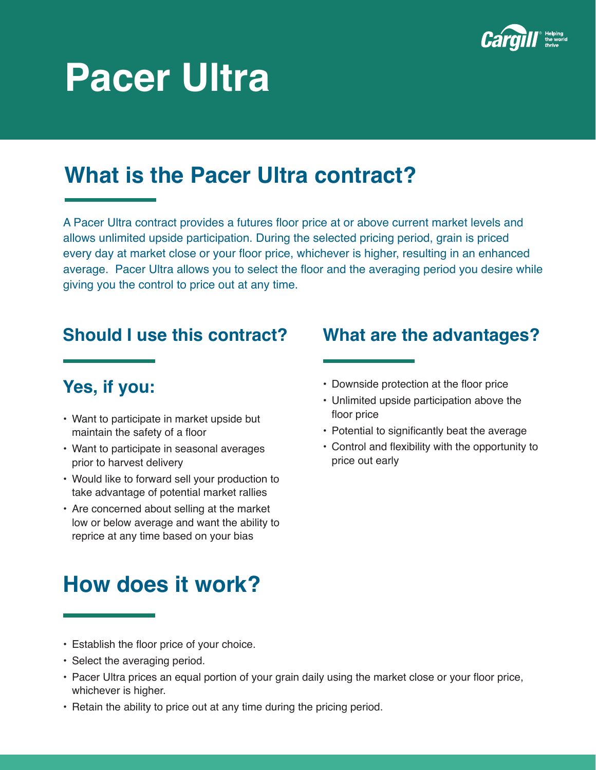

# **Pacer Ultra**

## **What is the Pacer Ultra contract?**

A Pacer Ultra contract provides a futures floor price at or above current market levels and allows unlimited upside participation. During the selected pricing period, grain is priced every day at market close or your floor price, whichever is higher, resulting in an enhanced average. Pacer Ultra allows you to select the floor and the averaging period you desire while giving you the control to price out at any time.

### **Should I use this contract? What are the advantages?**

### **Yes, if you:**

- Want to participate in market upside but maintain the safety of a floor
- Want to participate in seasonal averages prior to harvest delivery
- Would like to forward sell your production to take advantage of potential market rallies
- Are concerned about selling at the market low or below average and want the ability to reprice at any time based on your bias

### **How does it work?**

- Downside protection at the floor price
- Unlimited upside participation above the floor price
- Potential to significantly beat the average
- Control and flexibility with the opportunity to price out early

- Establish the floor price of your choice.
- Select the averaging period.
- Pacer Ultra prices an equal portion of your grain daily using the market close or your floor price, whichever is higher.
- Retain the ability to price out at any time during the pricing period.